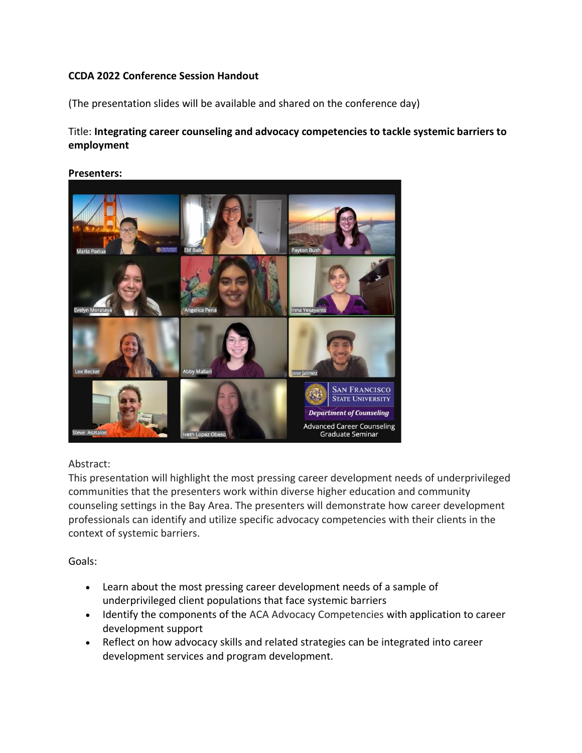## **CCDA 2022 Conference Session Handout**

(The presentation slides will be available and shared on the conference day)

# Title: **Integrating career counseling and advocacy competencies to tackle systemic barriers to employment**



#### **Presenters:**

## Abstract:

This presentation will highlight the most pressing career development needs of underprivileged communities that the presenters work within diverse higher education and community counseling settings in the Bay Area. The presenters will demonstrate how career development professionals can identify and utilize specific advocacy competencies with their clients in the context of systemic barriers.

Goals:

- Learn about the most pressing career development needs of a sample of underprivileged client populations that face systemic barriers
- Identify the components of the ACA Advocacy Competencies with application to career development support
- Reflect on how advocacy skills and related strategies can be integrated into career development services and program development.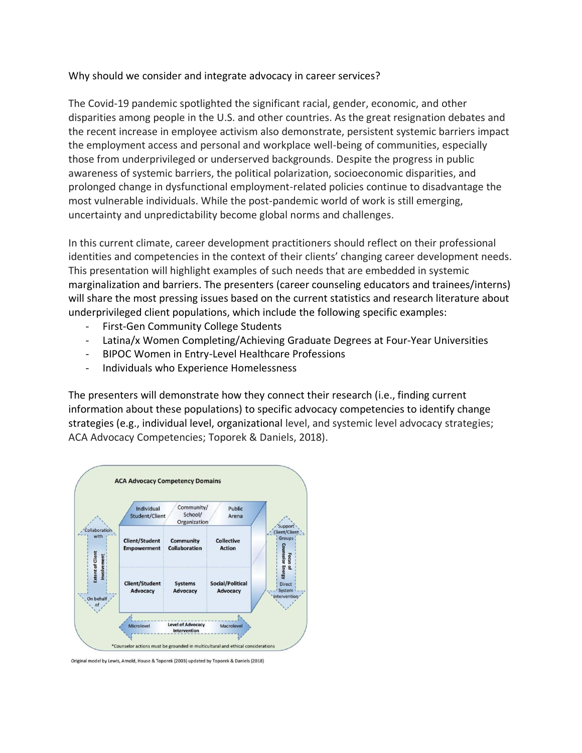### Why should we consider and integrate advocacy in career services?

The Covid-19 pandemic spotlighted the significant racial, gender, economic, and other disparities among people in the U.S. and other countries. As the great resignation debates and the recent increase in employee activism also demonstrate, persistent systemic barriers impact the employment access and personal and workplace well-being of communities, especially those from underprivileged or underserved backgrounds. Despite the progress in public awareness of systemic barriers, the political polarization, socioeconomic disparities, and prolonged change in dysfunctional employment-related policies continue to disadvantage the most vulnerable individuals. While the post-pandemic world of work is still emerging, uncertainty and unpredictability become global norms and challenges.

In this current climate, career development practitioners should reflect on their professional identities and competencies in the context of their clients' changing career development needs. This presentation will highlight examples of such needs that are embedded in systemic marginalization and barriers. The presenters (career counseling educators and trainees/interns) will share the most pressing issues based on the current statistics and research literature about underprivileged client populations, which include the following specific examples:

- First-Gen Community College Students
- Latina/x Women Completing/Achieving Graduate Degrees at Four-Year Universities
- BIPOC Women in Entry-Level Healthcare Professions
- Individuals who Experience Homelessness

The presenters will demonstrate how they connect their research (i.e., finding current information about these populations) to specific advocacy competencies to identify change strategies (e.g., individual level, organizational level, and systemic level advocacy strategies; ACA Advocacy Competencies; Toporek & Daniels, 2018).



Original model by Lewis, Arnold, House & Toporek (2003) updated by Toporek & Daniels (2018)